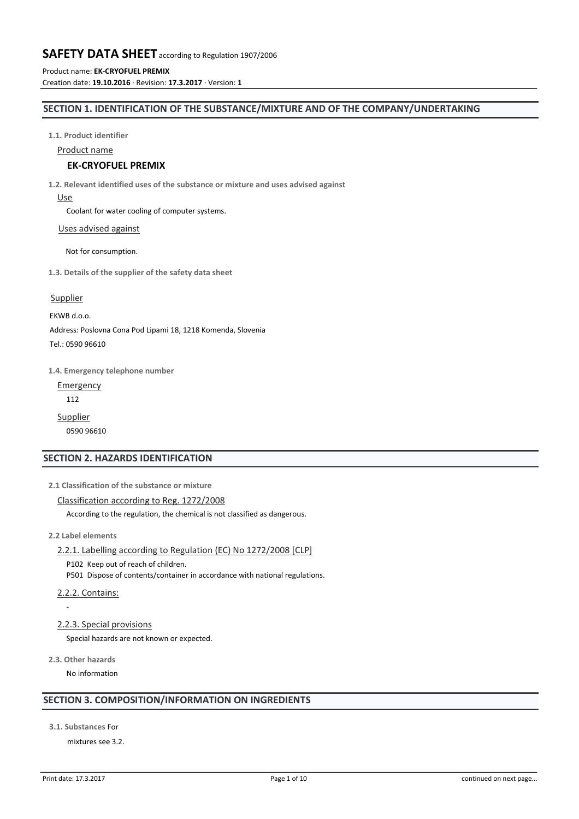Product name: **EK-CRYOFUEL PREMIX** Creation date: **19.10.2016** · Revision: **17.3.2017** · Version: **1**

### **SECTION 1. IDENTIFICATION OF THE SUBSTANCE/MIXTURE AND OF THE COMPANY/UNDERTAKING**

**1.1. Product identifier**

Product name

# **EK-CRYOFUEL PREMIX**

**1.2. Relevant identified uses of the substance or mixture and uses advised against**

Use

Coolant for water cooling of computer systems.

Uses advised against

Not for consumption.

**1.3. Details of the supplier of the safety data sheet**

### Supplier

EKWB d.o.o.

Address: Poslovna Cona Pod Lipami 18, 1218 Komenda, Slovenia

Tel.: 0590 96610

**1.4. Emergency telephone number**

Emergency

112

**Supplier** 0590 96610

# **SECTION 2. HAZARDS IDENTIFICATION**

**2.1 Classification of the substance or mixture**

### Classification according to Reg. 1272/2008

According to the regulation, the chemical is not classified as dangerous.

**2.2 Label elements**

2.2.1. Labelling according to Regulation (EC) No 1272/2008 [CLP]

P102 Keep out of reach of children. P501 Dispose of contents/container in accordance with national regulations.

2.2.2. Contains:

-

### 2.2.3. Special provisions

Special hazards are not known or expected.

**2.3. Other hazards**

No information

# **SECTION 3. COMPOSITION/INFORMATION ON INGREDIENTS**

**3.1. Substances** For

mixtures see 3.2.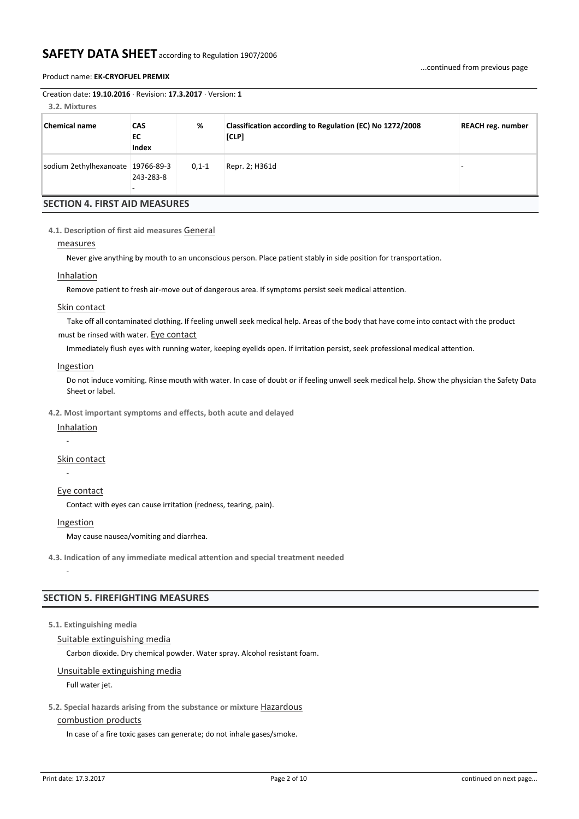### Product name: **EK-CRYOFUEL PREMIX**

| Creation date: $19.10.2016 \cdot$ Revision: 17.3.2017 $\cdot$ Version: 1<br>3.2. Mixtures |                           |         |                                                                   |                          |  |  |  |  |  |  |
|-------------------------------------------------------------------------------------------|---------------------------|---------|-------------------------------------------------------------------|--------------------------|--|--|--|--|--|--|
| <b>Chemical name</b>                                                                      | <b>CAS</b><br>EC<br>Index | %       | Classification according to Regulation (EC) No 1272/2008<br>[CLP] | <b>REACH reg. number</b> |  |  |  |  |  |  |
| sodium 2ethylhexanoate 19766-89-3                                                         | 243-283-8                 | $0,1-1$ | Repr. 2; H361d                                                    |                          |  |  |  |  |  |  |
| <b>SECTION 4. FIRST AID MEASURES</b>                                                      |                           |         |                                                                   |                          |  |  |  |  |  |  |

**4.1. Description of first aid measures** General

### measures

Never give anything by mouth to an unconscious person. Place patient stably in side position for transportation.

### Inhalation

Remove patient to fresh air-move out of dangerous area. If symptoms persist seek medical attention.

#### Skin contact

Take off all contaminated clothing. If feeling unwell seek medical help. Areas of the body that have come into contact with the product must be rinsed with water. Eye contact

Immediately flush eyes with running water, keeping eyelids open. If irritation persist, seek professional medical attention.

#### **Ingestion**

Do not induce vomiting. Rinse mouth with water. In case of doubt or if feeling unwell seek medical help. Show the physician the Safety Data Sheet or label.

**4.2. Most important symptoms and effects, both acute and delayed**

### **Inhalation**

-

# Skin contact

-

# Eye contact

Contact with eyes can cause irritation (redness, tearing, pain).

# **Ingestion**

-

May cause nausea/vomiting and diarrhea.

**4.3. Indication of any immediate medical attention and special treatment needed**

# **SECTION 5. FIREFIGHTING MEASURES**

# **5.1. Extinguishing media**

Suitable extinguishing media

Carbon dioxide. Dry chemical powder. Water spray. Alcohol resistant foam.

# Unsuitable extinguishing media

Full water jet.

# **5.2. Special hazards arising from the substance or mixture** Hazardous

# combustion products

In case of a fire toxic gases can generate; do not inhale gases/smoke.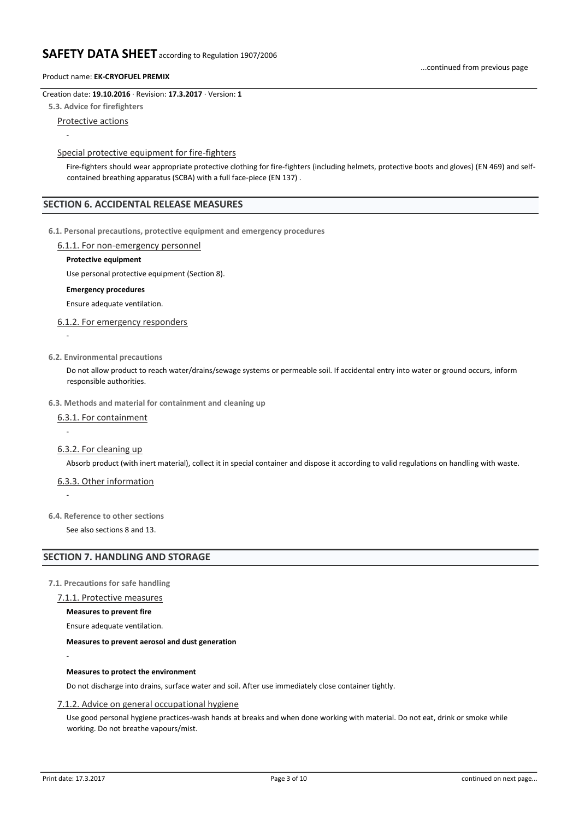### Creation date: **19.10.2016** · Revision: **17.3.2017** · Version: **1**

**5.3. Advice for firefighters**

Protective actions

-

-

-

-

### Special protective equipment for fire-fighters

Fire-fighters should wear appropriate protective clothing for fire-fighters (including helmets, protective boots and gloves) (EN 469) and selfcontained breathing apparatus (SCBA) with a full face-piece (EN 137) .

### **SECTION 6. ACCIDENTAL RELEASE MEASURES**

**6.1. Personal precautions, protective equipment and emergency procedures**

#### 6.1.1. For non-emergency personnel

### **Protective equipment**

Use personal protective equipment (Section 8).

### **Emergency procedures**

Ensure adequate ventilation.

### 6.1.2. For emergency responders

**6.2. Environmental precautions**

Do not allow product to reach water/drains/sewage systems or permeable soil. If accidental entry into water or ground occurs, inform responsible authorities.

#### **6.3. Methods and material for containment and cleaning up**

#### 6.3.1. For containment

6.3.2. For cleaning up

Absorb product (with inert material), collect it in special container and dispose it according to valid regulations on handling with waste.

#### 6.3.3. Other information

**6.4. Reference to other sections**

See also sections 8 and 13.

### **SECTION 7. HANDLING AND STORAGE**

### **7.1. Precautions for safe handling**

### 7.1.1. Protective measures

**Measures to prevent fire**

Ensure adequate ventilation.

### **Measures to prevent aerosol and dust generation**

**Measures to protect the environment**

Do not discharge into drains, surface water and soil. After use immediately close container tightly.

#### 7.1.2. Advice on general occupational hygiene

Use good personal hygiene practices-wash hands at breaks and when done working with material. Do not eat, drink or smoke while working. Do not breathe vapours/mist.

-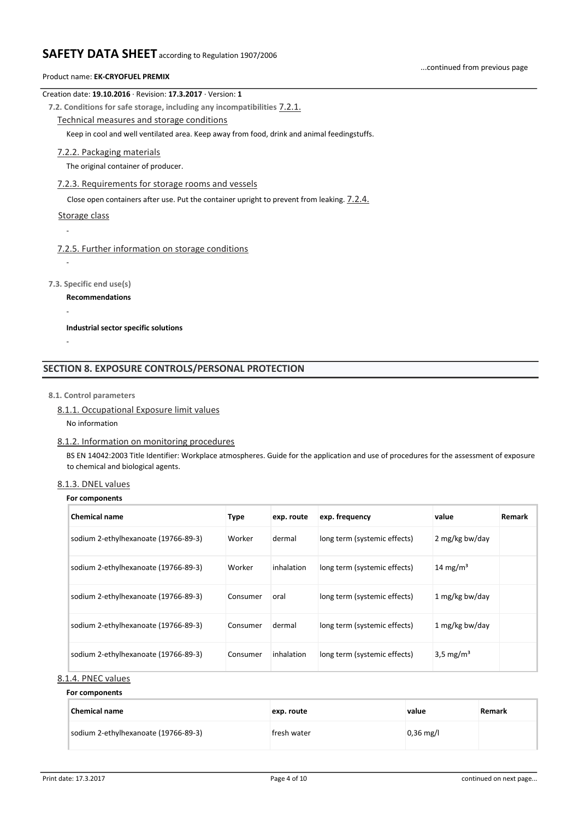### Product name: **EK-CRYOFUEL PREMIX**

### Creation date: **19.10.2016** · Revision: **17.3.2017** · Version: **1**

**7.2. Conditions for safe storage, including any incompatibilities** 7.2.1.

Technical measures and storage conditions

Keep in cool and well ventilated area. Keep away from food, drink and animal feedingstuffs.

### 7.2.2. Packaging materials

The original container of producer.

### 7.2.3. Requirements for storage rooms and vessels

Close open containers after use. Put the container upright to prevent from leaking. 7.2.4.

### Storage class

-

-

-

-

### 7.2.5. Further information on storage conditions

**7.3. Specific end use(s)**

**Recommendations**

**Industrial sector specific solutions**

# **SECTION 8. EXPOSURE CONTROLS/PERSONAL PROTECTION**

### **8.1. Control parameters**

8.1.1. Occupational Exposure limit values

No information

### 8.1.2. Information on monitoring procedures

BS EN 14042:2003 Title Identifier: Workplace atmospheres. Guide for the application and use of procedures for the assessment of exposure to chemical and biological agents.

### 8.1.3. DNEL values

### **For components**

| <b>Chemical name</b>                 | Type     | exp. route | exp. frequency               | value                 | Remark |
|--------------------------------------|----------|------------|------------------------------|-----------------------|--------|
| sodium 2-ethylhexanoate (19766-89-3) | Worker   | dermal     | long term (systemic effects) | 2 mg/kg bw/day        |        |
| sodium 2-ethylhexanoate (19766-89-3) | Worker   | inhalation | long term (systemic effects) | 14 mg/m <sup>3</sup>  |        |
| sodium 2-ethylhexanoate (19766-89-3) | Consumer | oral       | long term (systemic effects) | 1 mg/kg bw/day        |        |
| sodium 2-ethylhexanoate (19766-89-3) | Consumer | dermal     | long term (systemic effects) | 1 mg/kg bw/day        |        |
| sodium 2-ethylhexanoate (19766-89-3) | Consumer | inhalation | long term (systemic effects) | 3,5 mg/m <sup>3</sup> |        |

# 8.1.4. PNEC values

**For components**

| Chemical name                        | exp. route  | value       | Remark |
|--------------------------------------|-------------|-------------|--------|
| sodium 2-ethylhexanoate (19766-89-3) | fresh water | $0,36$ mg/l |        |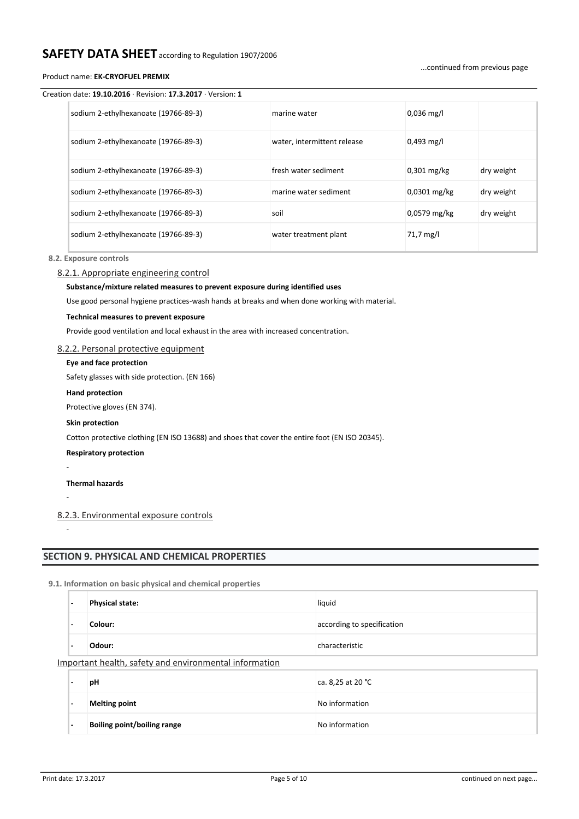### Product name: **EK-CRYOFUEL PREMIX**

#### ...continued from previous page

### Creation date: **19.10.2016** · Revision: **17.3.2017** · Version: **1**

| sodium 2-ethylhexanoate (19766-89-3) | marine water                | $0.036$ mg/l   |            |
|--------------------------------------|-----------------------------|----------------|------------|
| sodium 2-ethylhexanoate (19766-89-3) | water, intermittent release | $0,493$ mg/l   |            |
| sodium 2-ethylhexanoate (19766-89-3) | fresh water sediment        | $0.301$ mg/kg  | dry weight |
| sodium 2-ethylhexanoate (19766-89-3) | marine water sediment       | $0.0301$ mg/kg | dry weight |
| sodium 2-ethylhexanoate (19766-89-3) | soil                        | 0,0579 mg/kg   | dry weight |
| sodium 2-ethylhexanoate (19766-89-3) | water treatment plant       | 71,7 mg/l      |            |

### **8.2. Exposure controls**

#### 8.2.1. Appropriate engineering control

### **Substance/mixture related measures to prevent exposure during identified uses**

Use good personal hygiene practices-wash hands at breaks and when done working with material.

### **Technical measures to prevent exposure**

Provide good ventilation and local exhaust in the area with increased concentration.

### 8.2.2. Personal protective equipment

### **Eye and face protection**

Safety glasses with side protection. (EN 166)

#### **Hand protection**

Protective gloves (EN 374).

#### **Skin protection**

Cotton protective clothing (EN ISO 13688) and shoes that cover the entire foot (EN ISO 20345).

### **Respiratory protection**

**Thermal hazards**

-

-

# -

### 8.2.3. Environmental exposure controls

# **SECTION 9. PHYSICAL AND CHEMICAL PROPERTIES**

**9.1. Information on basic physical and chemical properties**

| $\overline{\phantom{0}}$                               | <b>Physical state:</b>      | liquid                     |  |  |  |  |  |  |  |  |
|--------------------------------------------------------|-----------------------------|----------------------------|--|--|--|--|--|--|--|--|
| $\overline{\phantom{0}}$                               | Colour:                     | according to specification |  |  |  |  |  |  |  |  |
|                                                        | Odour:                      | characteristic             |  |  |  |  |  |  |  |  |
| Important health, safety and environmental information |                             |                            |  |  |  |  |  |  |  |  |
| $\overline{\phantom{0}}$                               | pH                          | ca. 8,25 at 20 °C          |  |  |  |  |  |  |  |  |
| $\overline{\phantom{0}}$                               | <b>Melting point</b>        | No information             |  |  |  |  |  |  |  |  |
|                                                        | Boiling point/boiling range | No information             |  |  |  |  |  |  |  |  |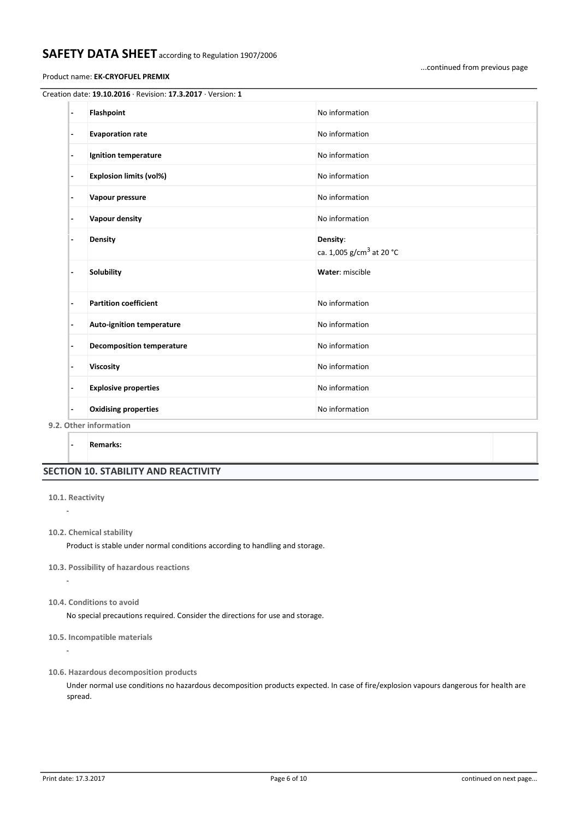### Product name: **EK-CRYOFUEL PREMIX**

| $\overline{\phantom{a}}$ | Flashpoint                       | No information                                   |
|--------------------------|----------------------------------|--------------------------------------------------|
| -                        | <b>Evaporation rate</b>          | No information                                   |
| $\overline{\phantom{a}}$ | Ignition temperature             | No information                                   |
| $\blacksquare$           | <b>Explosion limits (vol%)</b>   | No information                                   |
| $\blacksquare$           | Vapour pressure                  | No information                                   |
| -                        | Vapour density                   | No information                                   |
| $\blacksquare$           | Density                          | Density:<br>ca. 1,005 g/cm <sup>3</sup> at 20 °C |
| $\blacksquare$           | Solubility                       | Water: miscible                                  |
| $\overline{\phantom{0}}$ | <b>Partition coefficient</b>     | No information                                   |
| $\overline{\phantom{a}}$ | <b>Auto-ignition temperature</b> | No information                                   |
| ٠                        | <b>Decomposition temperature</b> | No information                                   |
|                          | Viscosity                        | No information                                   |
| $\blacksquare$           | <b>Explosive properties</b>      | No information                                   |
| $\overline{\phantom{m}}$ | <b>Oxidising properties</b>      | No information                                   |

**9.2. Other information**

**- Remarks:**

# **SECTION 10. STABILITY AND REACTIVITY**

**10.1. Reactivity**

-

-

-

**10.2. Chemical stability**

Product is stable under normal conditions according to handling and storage.

- **10.3. Possibility of hazardous reactions**
- **10.4. Conditions to avoid**

No special precautions required. Consider the directions for use and storage.

- **10.5. Incompatible materials**
- **10.6. Hazardous decomposition products**

Under normal use conditions no hazardous decomposition products expected. In case of fire/explosion vapours dangerous for health are spread.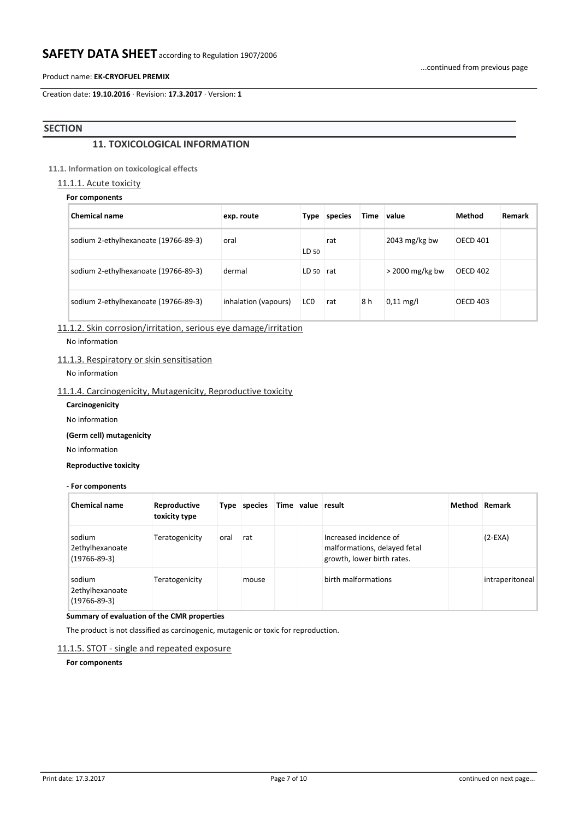### Product name: **EK-CRYOFUEL PREMIX**

Creation date: **19.10.2016** · Revision: **17.3.2017** · Version: **1**

# **SECTION**

# **11. TOXICOLOGICAL INFORMATION**

# **11.1. Information on toxicological effects**

# 11.1.1. Acute toxicity

| For components |  |
|----------------|--|
|----------------|--|

| <b>Chemical name</b>                 | exp. route           | Type            | species | Time | value               | Method          | Remark |
|--------------------------------------|----------------------|-----------------|---------|------|---------------------|-----------------|--------|
| sodium 2-ethylhexanoate (19766-89-3) | oral                 | LD 50           | rat     |      | 2043 $mg/kg$ bw     | <b>OECD 401</b> |        |
| sodium 2-ethylhexanoate (19766-89-3) | dermal               | LD 50           | rat     |      | $>$ 2000 mg/kg bw   | <b>OECD 402</b> |        |
| sodium 2-ethylhexanoate (19766-89-3) | inhalation (vapours) | LC <sub>0</sub> | rat     | 8 h  | $0,11 \text{ mg/l}$ | <b>OECD 403</b> |        |

11.1.2. Skin corrosion/irritation, serious eye damage/irritation

No information

### 11.1.3. Respiratory or skin sensitisation

No information

# 11.1.4. Carcinogenicity, Mutagenicity, Reproductive toxicity

**Carcinogenicity**

No information

# **(Germ cell) mutagenicity**

No information

### **Reproductive toxicity**

**- For components**

| <b>Chemical name</b>                            | Reproductive<br>toxicity type |      | Type species | Time value result |                                                                                      | Method Remark |                 |
|-------------------------------------------------|-------------------------------|------|--------------|-------------------|--------------------------------------------------------------------------------------|---------------|-----------------|
| sodium<br>2ethylhexanoate<br>$(19766 - 89 - 3)$ | Teratogenicity                | oral | rat          |                   | Increased incidence of<br>malformations, delayed fetal<br>growth, lower birth rates. |               | $(2-EXA)$       |
| sodium<br>2ethylhexanoate<br>$(19766 - 89 - 3)$ | Teratogenicity                |      | mouse        |                   | birth malformations                                                                  |               | intraperitoneal |

### **Summary of evaluation of the CMR properties**

The product is not classified as carcinogenic, mutagenic or toxic for reproduction.

### 11.1.5. STOT - single and repeated exposure

**For components**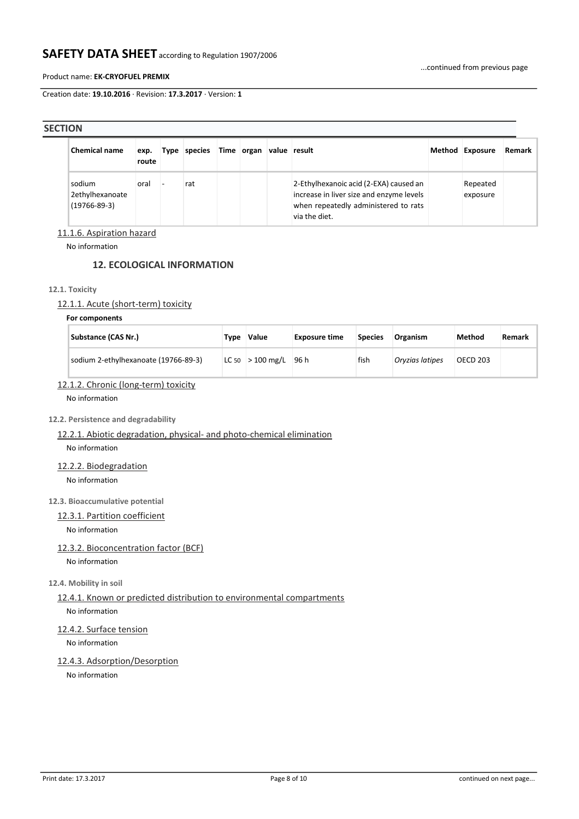### Product name: **EK-CRYOFUEL PREMIX**

Creation date: **19.10.2016** · Revision: **17.3.2017** · Version: **1**

### **SECTION**

| <b>Chemical name</b>                            | exp.<br>route | Type | species | Time organ value result |                                                                                                                                             | Method Exposure      | Remark |
|-------------------------------------------------|---------------|------|---------|-------------------------|---------------------------------------------------------------------------------------------------------------------------------------------|----------------------|--------|
| sodium<br>2ethylhexanoate<br>$(19766 - 89 - 3)$ | oral          |      | rat     |                         | 2-Ethylhexanoic acid (2-EXA) caused an<br>increase in liver size and enzyme levels<br>when repeatedly administered to rats<br>via the diet. | Repeated<br>exposure |        |

# 11.1.6. Aspiration hazard

No information

# **12. ECOLOGICAL INFORMATION**

# **12.1. Toxicity**

# 12.1.1. Acute (short-term) toxicity

### **For components**

| <b>Substance (CAS Nr.)</b>           | Tvpe | Value                | <b>Exposure time</b> | <b>Species</b> | <b>Organism</b> | Method   | Remark |
|--------------------------------------|------|----------------------|----------------------|----------------|-----------------|----------|--------|
| sodium 2-ethylhexanoate (19766-89-3) |      | $ LC 50  > 100$ mg/L | -96 h                | fish           | Oryzias latipes | OECD 203 |        |

# 12.1.2. Chronic (long-term) toxicity

No information

# **12.2. Persistence and degradability**

# 12.2.1. Abiotic degradation, physical- and photo-chemical elimination No information

12.2.2. Biodegradation

No information

### **12.3. Bioaccumulative potential**

# 12.3.1. Partition coefficient

No information

# 12.3.2. Bioconcentration factor (BCF)

No information

### **12.4. Mobility in soil**

# 12.4.1. Known or predicted distribution to environmental compartments

No information

# 12.4.2. Surface tension

No information

# 12.4.3. Adsorption/Desorption

No information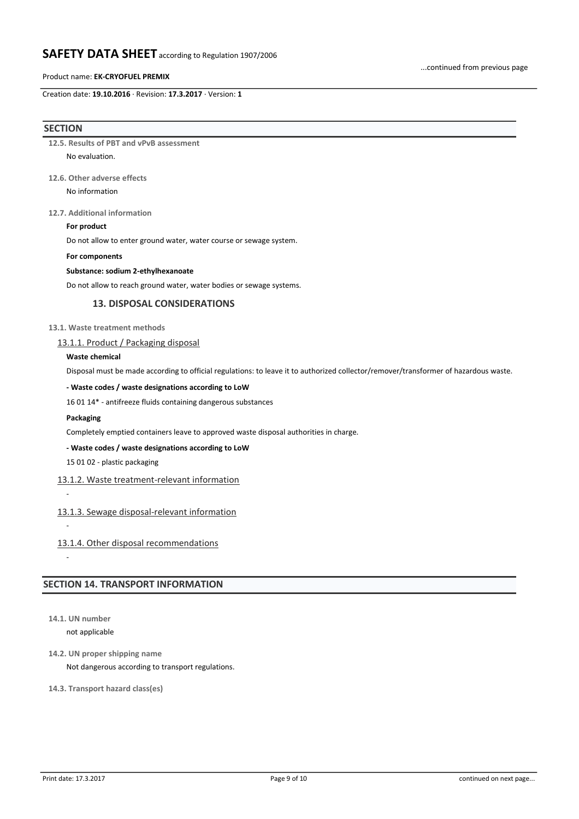### Product name: **EK-CRYOFUEL PREMIX**

Creation date: **19.10.2016** · Revision: **17.3.2017** · Version: **1**

### **SECTION**

**12.5. Results of PBT and vPvB assessment** No evaluation.

### **12.6. Other adverse effects**

No information

### **12.7. Additional information**

### **For product**

Do not allow to enter ground water, water course or sewage system.

#### **For components**

### **Substance: sodium 2-ethylhexanoate**

Do not allow to reach ground water, water bodies or sewage systems.

# **13. DISPOSAL CONSIDERATIONS**

### **13.1. Waste treatment methods**

### 13.1.1. Product / Packaging disposal

### **Waste chemical**

Disposal must be made according to official regulations: to leave it to authorized collector/remover/transformer of hazardous waste.

### **- Waste codes / waste designations according to LoW**

16 01 14\* - antifreeze fluids containing dangerous substances

#### **Packaging**

Completely emptied containers leave to approved waste disposal authorities in charge.

### **- Waste codes / waste designations according to LoW**

15 01 02 - plastic packaging

### 13.1.2. Waste treatment-relevant information

-

# 13.1.3. Sewage disposal-relevant information

-

-

13.1.4. Other disposal recommendations

# **SECTION 14. TRANSPORT INFORMATION**

**14.1. UN number**

not applicable

**14.2. UN proper shipping name**

Not dangerous according to transport regulations.

# **14.3. Transport hazard class(es)**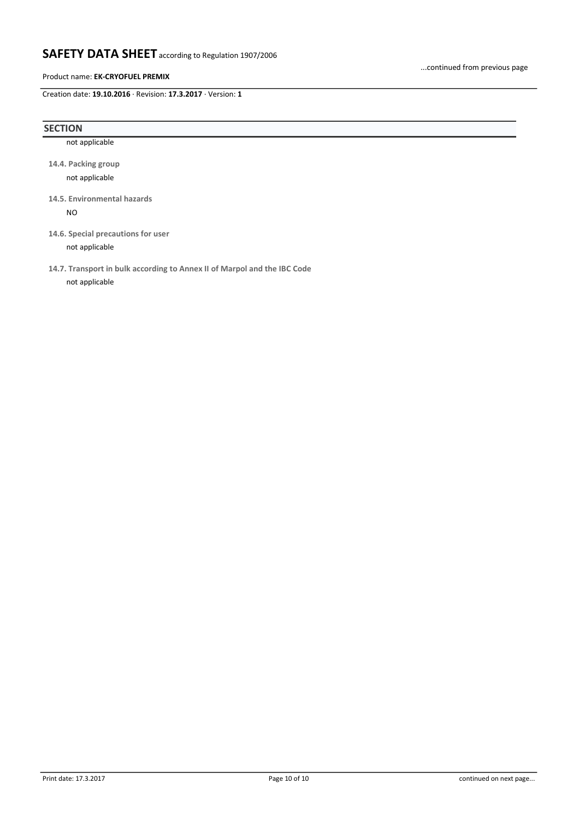### Product name: **EK-CRYOFUEL PREMIX**

Creation date: **19.10.2016** · Revision: **17.3.2017** · Version: **1**

### **SECTION**

not applicable

**14.4. Packing group** not applicable

**14.5. Environmental hazards** NO

**14.6. Special precautions for user** not applicable

**14.7. Transport in bulk according to Annex II of Marpol and the IBC Code**

not applicable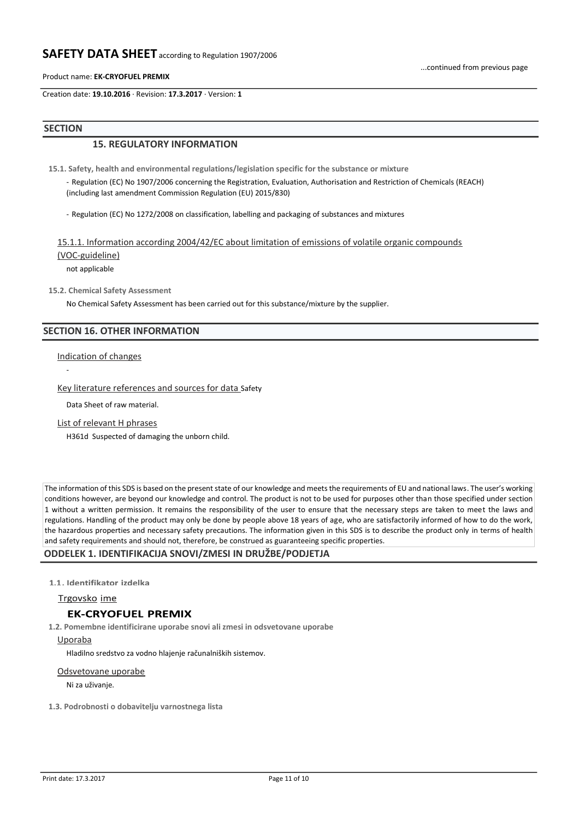Product name: **EK-CRYOFUEL PREMIX**

Creation date: **19.10.2016** · Revision: **17.3.2017** · Version: **1**

### **SECTION**

# **15. REGULATORY INFORMATION**

**15.1. Safety, health and environmental regulations/legislation specific for the substance or mixture**

- Regulation (EC) No 1907/2006 concerning the Registration, Evaluation, Authorisation and Restriction of Chemicals (REACH) (including last amendment Commission Regulation (EU) 2015/830)

- Regulation (EC) No 1272/2008 on classification, labelling and packaging of substances and mixtures

15.1.1. Information according 2004/42/EC about limitation of emissions of volatile organic compounds (VOC-guideline)

not applicable

**15.2. Chemical Safety Assessment**

No Chemical Safety Assessment has been carried out for this substance/mixture by the supplier.

# **SECTION 16. OTHER INFORMATION**

Indication of changes

-

Key literature references and sources for data Safety

Data Sheet of raw material.

List of relevant H phrases

H361d Suspected of damaging the unborn child.

The information of this SDS is based on the present state of our knowledge and meets the requirements of EU and national laws. The user's working conditions however, are beyond our knowledge and control. The product is not to be used for purposes other than those specified under section 1 without a written permission. It remains the responsibility of the user to ensure that the necessary steps are taken to meet the laws and regulations. Handling of the product may only be done by people above 18 years of age, who are satisfactorily informed of how to do the work, the hazardous properties and necessary safety precautions. The information given in this SDS is to describe the product only in terms of health and safety requirements and should not, therefore, be construed as guaranteeing specific properties.

### **ODDELEK 1. IDENTIFIKACIJA SNOVI/ZMESI IN DRUŽBE/PODJETJA**

1.1. Identifikator izdelka

Trgovsko ime

### **EK-CRYOFUEL PREMIX**

**1.2. Pomembne identificirane uporabe snovi ali zmesi in odsvetovane uporabe** Uporaba

Hladilno sredstvo za vodno hlajenje računalniških sistemov.

#### Odsvetovane uporabe

Ni za uživanje.

**1.3. Podrobnosti o dobavitelju varnostnega lista**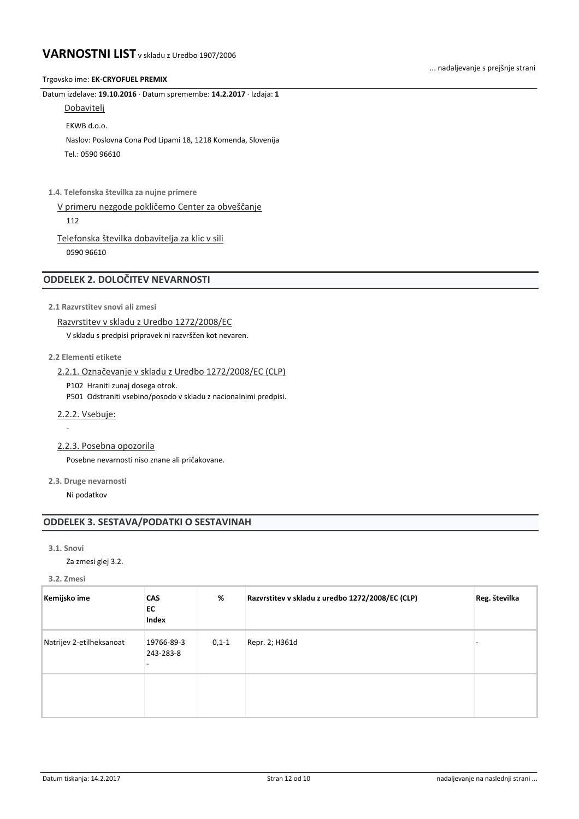### Trgovsko ime: **EK-CRYOFUEL PREMIX**

Datum izdelave: **19.10.2016** · Datum spremembe: **14.2.2017** · Izdaja: **1**

**Dobavitelj** 

EKWB d.o.o.

 Naslov: Poslovna Cona Pod Lipami 18, 1218 Komenda, Slovenija Tel.: 0590 96610

**1.4. Telefonska številka za nujne primere**

V primeru nezgode pokličemo Center za obveščanje 112

Telefonska številka dobavitelja za klic v sili 0590 96610

# **ODDELEK 2. DOLOČITEV NEVARNOSTI**

**2.1 Razvrstitev snovi ali zmesi**

```
Razvrstitev v skladu z Uredbo 1272/2008/EC
```
V skladu s predpisi pripravek ni razvrščen kot nevaren.

# **2.2 Elementi etikete**

2.2.1. Označevanje v skladu z Uredbo 1272/2008/EC (CLP)

P102 Hraniti zunaj dosega otrok.

P501 Odstraniti vsebino/posodo v skladu z nacionalnimi predpisi.

2.2.2. Vsebuje:

-

2.2.3. Posebna opozorila

Posebne nevarnosti niso znane ali pričakovane.

**2.3. Druge nevarnosti**

Ni podatkov

# **ODDELEK 3. SESTAVA/PODATKI O SESTAVINAH**

### **3.1. Snovi**

Za zmesi glej 3.2.

**3.2. Zmesi**

| Kemijsko ime             | <b>CAS</b><br>EC<br>Index | %       | Razvrstitev v skladu z uredbo 1272/2008/EC (CLP) | Reg. številka |
|--------------------------|---------------------------|---------|--------------------------------------------------|---------------|
| Natrijev 2-etilheksanoat | 19766-89-3<br>243-283-8   | $0,1-1$ | Repr. 2; H361d                                   |               |
|                          |                           |         |                                                  |               |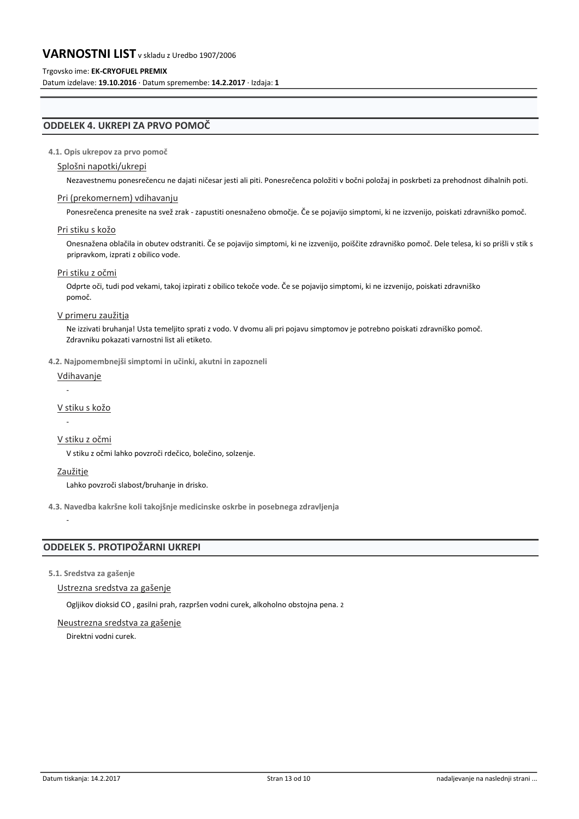### Trgovsko ime: **EK-CRYOFUEL PREMIX**

Datum izdelave: **19.10.2016** · Datum spremembe: **14.2.2017** · Izdaja: **1**

# **ODDELEK 4. UKREPI ZA PRVO POMOČ**

### **4.1. Opis ukrepov za prvo pomoč**

### Splošni napotki/ukrepi

Nezavestnemu ponesrečencu ne dajati ničesar jesti ali piti. Ponesrečenca položiti v bočni položaj in poskrbeti za prehodnost dihalnih poti.

### Pri (prekomernem) vdihavanju

Ponesrečenca prenesite na svež zrak - zapustiti onesnaženo območje. Če se pojavijo simptomi, ki ne izzvenijo, poiskati zdravniško pomoč.

### Pri stiku s kožo

Onesnažena oblačila in obutev odstraniti. Če se pojavijo simptomi, ki ne izzvenijo, poiščite zdravniško pomoč. Dele telesa, ki so prišli v stik s pripravkom, izprati z obilico vode.

### Pri stiku z očmi

Odprte oči, tudi pod vekami, takoj izpirati z obilico tekoče vode. Če se pojavijo simptomi, ki ne izzvenijo, poiskati zdravniško pomoč.

### V primeru zaužitja

Ne izzivati bruhanja! Usta temeljito sprati z vodo. V dvomu ali pri pojavu simptomov je potrebno poiskati zdravniško pomoč. Zdravniku pokazati varnostni list ali etiketo.

### **4.2. Najpomembnejši simptomi in učinki, akutni in zapozneli**

# Vdihavanje

### -

-

### V stiku s kožo

### V stiku z očmi

V stiku z očmi lahko povzroči rdečico, bolečino, solzenje.

### Zaužitje

-

Lahko povzroči slabost/bruhanje in drisko.

**4.3. Navedba kakršne koli takojšnje medicinske oskrbe in posebnega zdravljenja**

# **ODDELEK 5. PROTIPOŽARNI UKREPI**

### **5.1. Sredstva za gašenje**

### Ustrezna sredstva za gašenje

Ogljikov dioksid CO , gasilni prah, razpršen vodni curek, alkoholno obstojna pena. 2

# Neustrezna sredstva za gašenje

Direktni vodni curek.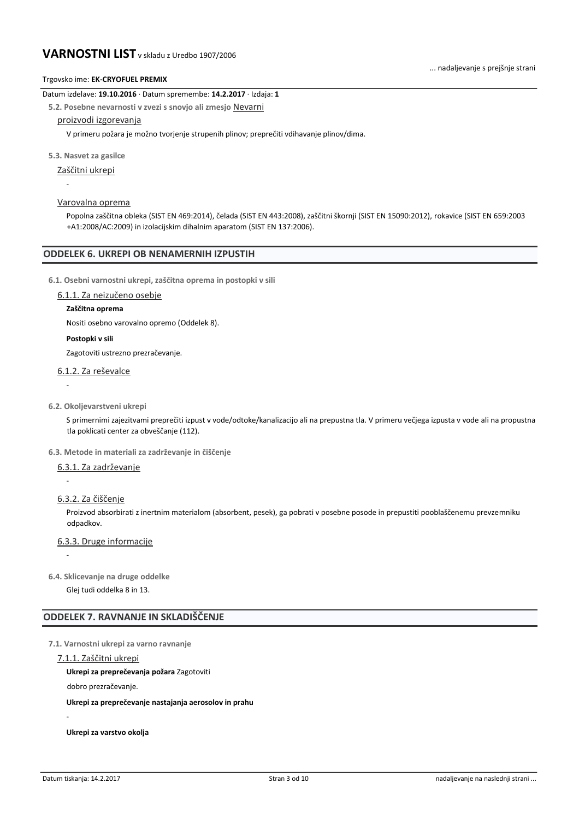### Datum izdelave: **19.10.2016** · Datum spremembe: **14.2.2017** · Izdaja: **1**

**5.2. Posebne nevarnosti v zvezi s snovjo ali zmesjo** Nevarni

### proizvodi izgorevanja

V primeru požara je možno tvorjenje strupenih plinov; preprečiti vdihavanje plinov/dima.

### **5.3. Nasvet za gasilce**

Zaščitni ukrepi

- -
- Varovalna oprema

Popolna zaščitna obleka (SIST EN 469:2014), čelada (SIST EN 443:2008), zaščitni škornji (SIST EN 15090:2012), rokavice (SIST EN 659:2003 +A1:2008/AC:2009) in izolacijskim dihalnim aparatom (SIST EN 137:2006).

### **ODDELEK 6. UKREPI OB NENAMERNIH IZPUSTIH**

**6.1. Osebni varnostni ukrepi, zaščitna oprema in postopki v sili**

### 6.1.1. Za neizučeno osebje

### **Zaščitna oprema**

Nositi osebno varovalno opremo (Oddelek 8).

### **Postopki v sili**

Zagotoviti ustrezno prezračevanje.

# 6.1.2. Za reševalce

# -

**6.2. Okoljevarstveni ukrepi**

S primernimi zajezitvami preprečiti izpust v vode/odtoke/kanalizacijo ali na prepustna tla. V primeru večjega izpusta v vode ali na propustna tla poklicati center za obveščanje (112).

### **6.3. Metode in materiali za zadrževanje in čiščenje**

### 6.3.1. Za zadrževanje

6.3.2. Za čiščenje

-

-

Proizvod absorbirati z inertnim materialom (absorbent, pesek), ga pobrati v posebne posode in prepustiti pooblaščenemu prevzemniku odpadkov.

6.3.3. Druge informacije

**6.4. Sklicevanje na druge oddelke**

Glej tudi oddelka 8 in 13.

# **ODDELEK 7. RAVNANJE IN SKLADIŠČENJE**

**7.1. Varnostni ukrepi za varno ravnanje**

#### 7.1.1. Zaščitni ukrepi

**Ukrepi za preprečevanja požara** Zagotoviti

dobro prezračevanje.

**Ukrepi za preprečevanje nastajanja aerosolov in prahu**

**Ukrepi za varstvo okolja**

-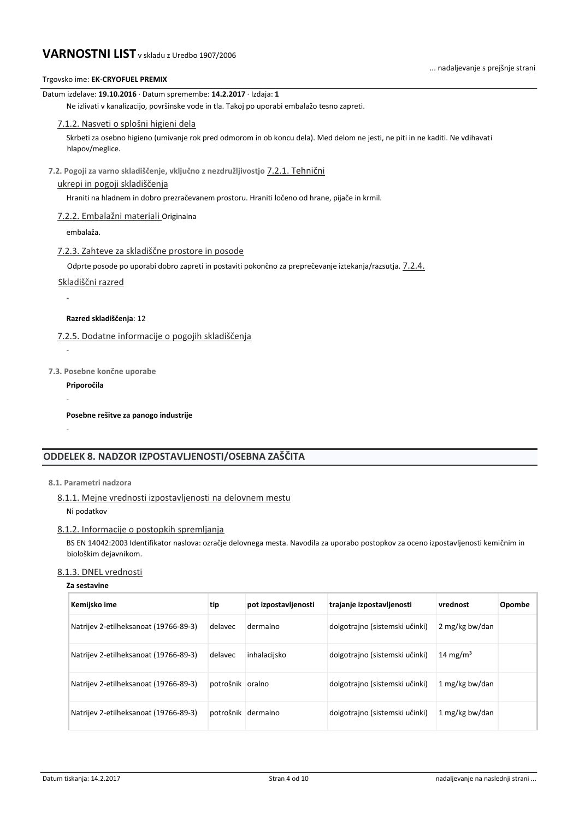| Trgovsko ime: EK-CRYOFUEL PREMIX                                                                                                                              |
|---------------------------------------------------------------------------------------------------------------------------------------------------------------|
| Datum izdelave: 19.10.2016 · Datum spremembe: 14.2.2017 · Izdaja: 1                                                                                           |
| Ne izlivati v kanalizacijo, površinske vode in tla. Takoj po uporabi embalažo tesno zapreti.                                                                  |
| 7.1.2. Nasveti o splošni higieni dela                                                                                                                         |
| Skrbeti za osebno higieno (umivanje rok pred odmorom in ob koncu dela). Med delom ne jesti, ne piti in ne kaditi. Ne vdihavati<br>hlapov/meglice.             |
| 7.2. Pogoji za varno skladiščenje, vključno z nezdružljivostjo 7.2.1. Tehnični                                                                                |
| ukrepi in pogoji skladiščenja                                                                                                                                 |
| Hraniti na hladnem in dobro prezračevanem prostoru. Hraniti ločeno od hrane, pijače in krmil.                                                                 |
| 7.2.2. Embalažni materiali Originalna                                                                                                                         |
| embalaža.                                                                                                                                                     |
| 7.2.3. Zahteve za skladiščne prostore in posode                                                                                                               |
| Odprte posode po uporabi dobro zapreti in postaviti pokončno za preprečevanje iztekanja/razsutja. 7.2.4.                                                      |
| Skladiščni razred                                                                                                                                             |
|                                                                                                                                                               |
| Razred skladiščenja: 12                                                                                                                                       |
| 7.2.5. Dodatne informacije o pogojih skladiščenja                                                                                                             |
| $\blacksquare$                                                                                                                                                |
| 7.3. Posebne končne uporabe                                                                                                                                   |
| Priporočila                                                                                                                                                   |
|                                                                                                                                                               |
| Posebne rešitve za panogo industrije                                                                                                                          |
|                                                                                                                                                               |
| ODDELEK 8. NADZOR IZPOSTAVLJENOSTI/OSEBNA ZAŠČITA                                                                                                             |
|                                                                                                                                                               |
| 8.1. Parametri nadzora                                                                                                                                        |
| 8.1.1. Mejne vrednosti izpostavljenosti na delovnem mestu                                                                                                     |
| Ni podatkov                                                                                                                                                   |
| 8.1.2. Informacije o postopkih spremljanja                                                                                                                    |
| BS EN 14042:2003 Identifikator naslova: ozračje delovnega mesta. Navodila za uporabo postopkov za oceno izpostavljenosti kemičnim in<br>biološkim dejavnikom. |
|                                                                                                                                                               |

# 8.1.3. DNEL vrednosti

| Kemijsko ime                          | tip              | pot izpostavljenosti | trajanje izpostavljenosti      | vrednost             | Opombe |
|---------------------------------------|------------------|----------------------|--------------------------------|----------------------|--------|
| Natrijev 2-etilheksanoat (19766-89-3) | delavec          | dermalno             | dolgotrajno (sistemski učinki) | 2 mg/kg bw/dan       |        |
| Natrijev 2-etilheksanoat (19766-89-3) | delavec          | inhalacijsko         | dolgotrajno (sistemski učinki) | 14 mg/m <sup>3</sup> |        |
| Natrijev 2-etilheksanoat (19766-89-3) | potrošnik oralno |                      | dolgotrajno (sistemski učinki) | 1 mg/kg bw/dan       |        |
| Natrijev 2-etilheksanoat (19766-89-3) |                  | potrošnik dermalno   | dolgotrajno (sistemski učinki) | 1 mg/kg bw/dan       |        |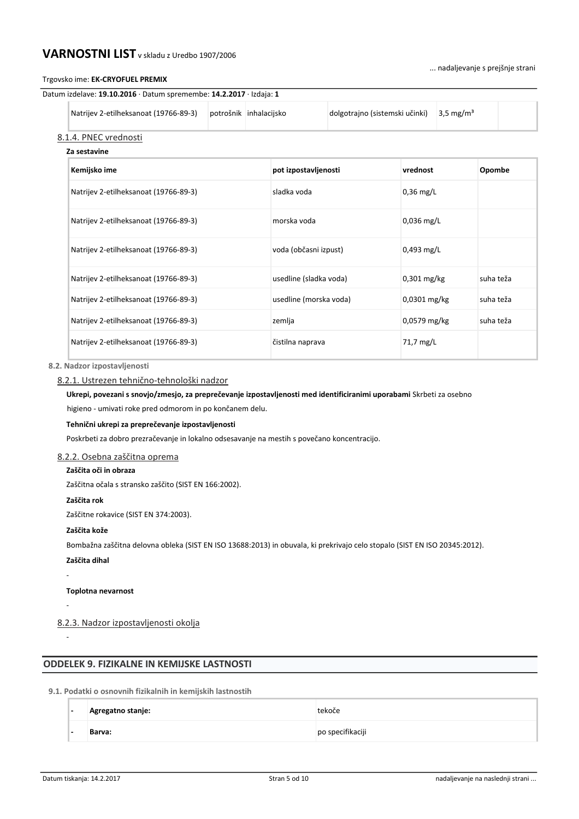### Trgovsko ime: **EK-CRYOFUEL PREMIX**

| Datum izdelave: 19.10.2016 · Datum spremembe: 14.2.2017 · Izdaja: 1 |  |
|---------------------------------------------------------------------|--|
|---------------------------------------------------------------------|--|

| Natrijev 2-etilheksanoat (19766-89-3) | potrošnik inhalacijsko | dolgotrajno (sistemski učinki) | $3.5 \text{ mg/m}^3$ |  |
|---------------------------------------|------------------------|--------------------------------|----------------------|--|
| 8.1.4. PNEC vrednosti                 |                        |                                |                      |  |
| Za sestavine                          |                        |                                |                      |  |

| Kemijsko ime                          | pot izpostavljenosti   | vrednost       | Opombe    |
|---------------------------------------|------------------------|----------------|-----------|
| Natrijev 2-etilheksanoat (19766-89-3) | sladka voda            | $0,36$ mg/L    |           |
| Natrijev 2-etilheksanoat (19766-89-3) | morska voda            | $0.036$ mg/L   |           |
| Natrijev 2-etilheksanoat (19766-89-3) | voda (občasni izpust)  | $0,493$ mg/L   |           |
| Natrijev 2-etilheksanoat (19766-89-3) | usedline (sladka voda) | $0,301$ mg/kg  | suha teža |
| Natrijev 2-etilheksanoat (19766-89-3) | usedline (morska voda) | $0,0301$ mg/kg | suha teža |
| Natrijev 2-etilheksanoat (19766-89-3) | zemlja                 | $0,0579$ mg/kg | suha teža |
| Natrijev 2-etilheksanoat (19766-89-3) | čistilna naprava       | 71,7 mg/L      |           |

### **8.2. Nadzor izpostavljenosti**

### 8.2.1. Ustrezen tehnično-tehnološki nadzor

# **Ukrepi, povezani s snovjo/zmesjo, za preprečevanje izpostavljenosti med identificiranimi uporabami** Skrbeti za osebno

higieno - umivati roke pred odmorom in po končanem delu.

### **Tehnični ukrepi za preprečevanje izpostavljenosti**

Poskrbeti za dobro prezračevanje in lokalno odsesavanje na mestih s povečano koncentracijo.

# 8.2.2. Osebna zaščitna oprema

### **Zaščita oči in obraza**

Zaščitna očala s stransko zaščito (SIST EN 166:2002).

### **Zaščita rok**

Zaščitne rokavice (SIST EN 374:2003).

### **Zaščita kože**

Bombažna zaščitna delovna obleka (SIST EN ISO 13688:2013) in obuvala, ki prekrivajo celo stopalo (SIST EN ISO 20345:2012).

**Zaščita dihal**

-

-

-

**Toplotna nevarnost**

8.2.3. Nadzor izpostavljenosti okolja

# **ODDELEK 9. FIZIKALNE IN KEMIJSKE LASTNOSTI**

### **9.1. Podatki o osnovnih fizikalnih in kemijskih lastnostih**

| $\overline{\phantom{0}}$ | Agregatno stanje: | tekoče           |
|--------------------------|-------------------|------------------|
| $\overline{\phantom{0}}$ | Barva:            | po specifikaciji |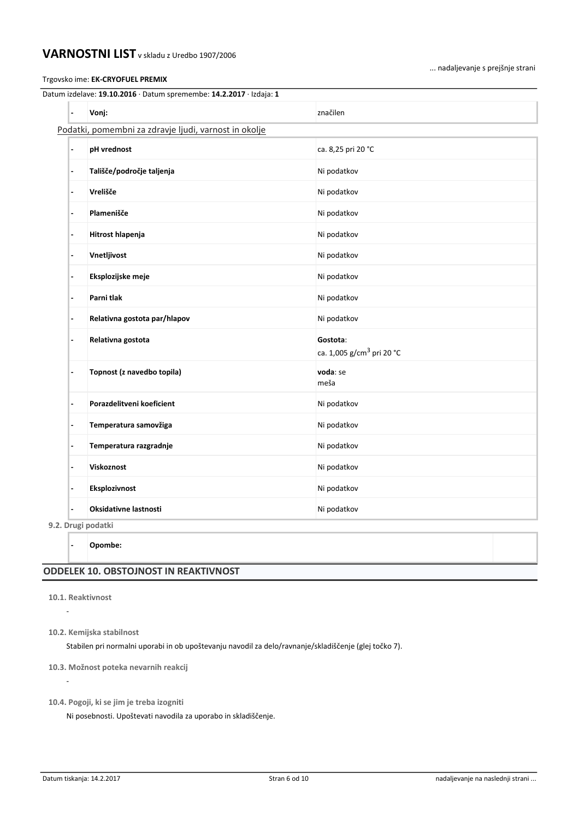Trgovsko ime: **EK-CRYOFUEL PREMIX**

... nadaljevanje s prejšnje strani

| $\overline{\phantom{a}}$ | Vonj:                                                 | značilen                                          |
|--------------------------|-------------------------------------------------------|---------------------------------------------------|
|                          | Podatki, pomembni za zdravje ljudi, varnost in okolje |                                                   |
| $\overline{\phantom{a}}$ | pH vrednost                                           | ca. 8,25 pri 20 °C                                |
| $\overline{\phantom{a}}$ | Tališče/področje taljenja                             | Ni podatkov                                       |
| $\overline{\phantom{a}}$ | Vrelišče                                              | Ni podatkov                                       |
| $\overline{\phantom{a}}$ | Plamenišče                                            | Ni podatkov                                       |
| $\overline{\phantom{a}}$ | Hitrost hlapenja                                      | Ni podatkov                                       |
| $\overline{\phantom{a}}$ | Vnetljivost                                           | Ni podatkov                                       |
| $\blacksquare$           | Eksplozijske meje                                     | Ni podatkov                                       |
| $\overline{\phantom{a}}$ | Parni tlak                                            | Ni podatkov                                       |
| $\overline{\phantom{0}}$ | Relativna gostota par/hlapov                          | Ni podatkov                                       |
| $\overline{\phantom{a}}$ | Relativna gostota                                     | Gostota:<br>ca. 1,005 g/cm <sup>3</sup> pri 20 °C |
| $\overline{\phantom{a}}$ | Topnost (z navedbo topila)                            | voda: se<br>meša                                  |
| $\blacksquare$           | Porazdelitveni koeficient                             | Ni podatkov                                       |
| $\overline{\phantom{a}}$ | Temperatura samovžiga                                 | Ni podatkov                                       |
| $\overline{\phantom{a}}$ | Temperatura razgradnje                                | Ni podatkov                                       |
| $\overline{\phantom{a}}$ | Viskoznost                                            | Ni podatkov                                       |
| $\blacksquare$           | Eksplozivnost                                         | Ni podatkov                                       |
| $\overline{\phantom{a}}$ | Oksidativne lastnosti                                 | Ni podatkov                                       |

# **ODDELEK 10. OBSTOJNOST IN REAKTIVNOST**

**10.1. Reaktivnost**

-

-

**10.2. Kemijska stabilnost**

Stabilen pri normalni uporabi in ob upoštevanju navodil za delo/ravnanje/skladiščenje (glej točko 7).

**10.3. Možnost poteka nevarnih reakcij**

**10.4. Pogoji, ki se jim je treba izogniti**

Ni posebnosti. Upoštevati navodila za uporabo in skladiščenje.

**<sup>-</sup> Opombe:**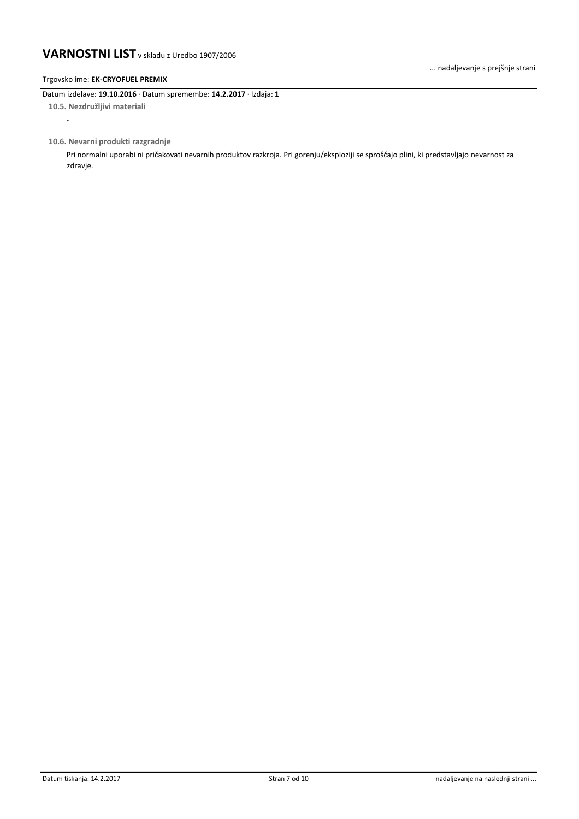### Trgovsko ime: **EK-CRYOFUEL PREMIX**

-

Datum izdelave: **19.10.2016** · Datum spremembe: **14.2.2017** · Izdaja: **1 10.5. Nezdružljivi materiali**

**10.6. Nevarni produkti razgradnje**

Pri normalni uporabi ni pričakovati nevarnih produktov razkroja. Pri gorenju/eksploziji se sproščajo plini, ki predstavljajo nevarnost za zdravje.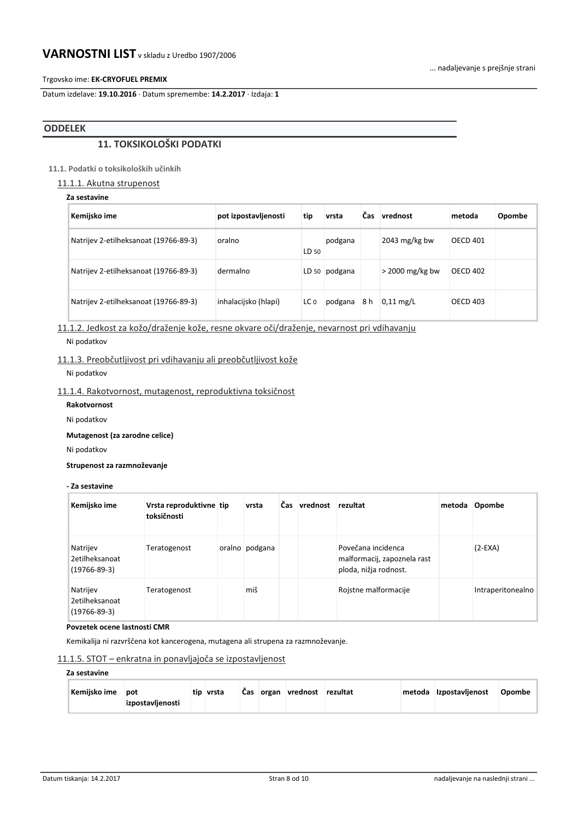### Trgovsko ime: **EK-CRYOFUEL PREMIX**

Datum izdelave: **19.10.2016** · Datum spremembe: **14.2.2017** · Izdaja: **1**

# **ODDELEK**

# **11. TOKSIKOLOŠKI PODATKI**

# **11.1. Podatki o toksikoloških učinkih**

11.1.1. Akutna strupenost

# **Za sestavine**

| Kemijsko ime                          | pot izpostavljenosti | tip   | vrsta         | Čas | vrednost          | metoda          | Opombe |
|---------------------------------------|----------------------|-------|---------------|-----|-------------------|-----------------|--------|
| Natrijev 2-etilheksanoat (19766-89-3) | oralno               | LD 50 | podgana       |     | 2043 $mg/kg$ bw   | <b>OECD 401</b> |        |
| Natrijev 2-etilheksanoat (19766-89-3) | dermalno             |       | LD 50 podgana |     | $>$ 2000 mg/kg bw | <b>OECD 402</b> |        |
| Natrijev 2-etilheksanoat (19766-89-3) | inhalacijsko (hlapi) | LC 0  | podgana       | 8 h | $0.11$ mg/L       | <b>OECD 403</b> |        |

11.1.2. Jedkost za kožo/draženje kože, resne okvare oči/draženje, nevarnost pri vdihavanju

Ni podatkov

# 11.1.3. Preobčutljivost pri vdihavanju ali preobčutljivost kože

Ni podatkov

# 11.1.4. Rakotvornost, mutagenost, reproduktivna toksičnost

**Rakotvornost**

Ni podatkov

**Mutagenost (za zarodne celice)**

Ni podatkov

**Strupenost za razmnoževanje**

### **- Za sestavine**

| Kemijsko ime                                     | Vrsta reproduktivne tip<br>toksičnosti | vrsta          | Čas. | vrednost | rezultat                                                                   | metoda | Opombe            |
|--------------------------------------------------|----------------------------------------|----------------|------|----------|----------------------------------------------------------------------------|--------|-------------------|
| Natrijev<br>2etilheksanoat<br>$(19766 - 89 - 3)$ | Teratogenost                           | oralno podgana |      |          | Povečana incidenca<br>malformacij, zapoznela rast<br>ploda, nižja rodnost. |        | $(2-EXA)$         |
| Natrijev<br>2etilheksanoat<br>$(19766 - 89 - 3)$ | Teratogenost                           | miš            |      |          | Rojstne malformacije                                                       |        | Intraperitonealno |

#### **Povzetek ocene lastnosti CMR**

Kemikalija ni razvrščena kot kancerogena, mutagena ali strupena za razmnoževanje.

# 11.1.5. STOT – enkratna in ponavljajoča se izpostavljenost

# **Za sestavine**

| Kemijsko ime pot |                  | tip vrsta |  | Čas organ vrednost rezultat |  | metoda Izpostavljenost | Opombe |
|------------------|------------------|-----------|--|-----------------------------|--|------------------------|--------|
|                  | izpostavljenosti |           |  |                             |  |                        |        |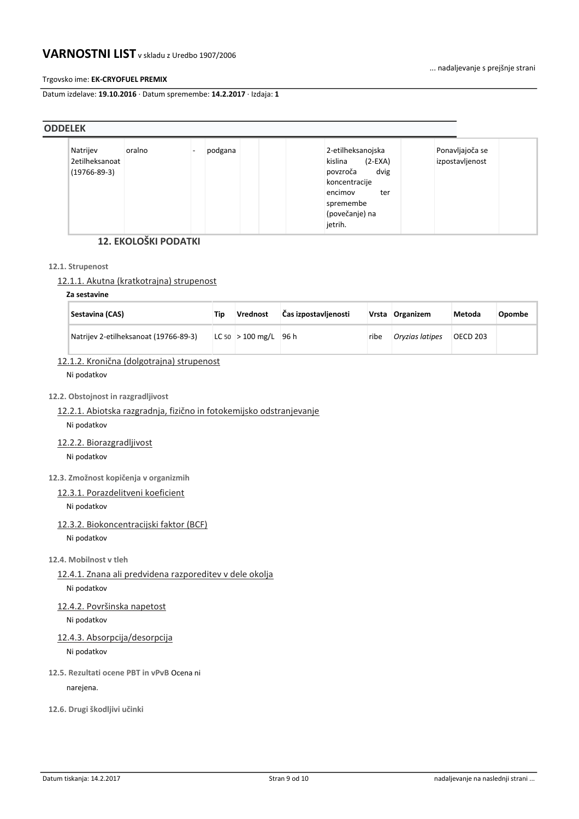... nadaljevanje s prejšnje strani

### Trgovsko ime: **EK-CRYOFUEL PREMIX**

Datum izdelave: **19.10.2016** · Datum spremembe: **14.2.2017** · Izdaja: **1**

| <b>ODDELEK</b> |                                      |        |         |                                                                                                                                            |                                    |  |
|----------------|--------------------------------------|--------|---------|--------------------------------------------------------------------------------------------------------------------------------------------|------------------------------------|--|
| Natrijev       | 2etilheksanoat<br>$(19766 - 89 - 3)$ | oralno | podgana | 2-etilheksanojska<br>kislina<br>$(2-EXA)$<br>dvig<br>povzroča<br>koncentracije<br>encimov<br>ter<br>spremembe<br>(povečanje) na<br>jetrih. | Ponavljajoča se<br>izpostavljenost |  |

# **12. EKOLOŠKI PODATKI**

### **12.1. Strupenost**

# 12.1.1. Akutna (kratkotrajna) strupenost

# **Za sestavine**

| Sestavina (CAS)                       | Tin | Vrednost             | Čas izpostavljenosti |      | Vrsta Organizem | Metoda          | Opombe |
|---------------------------------------|-----|----------------------|----------------------|------|-----------------|-----------------|--------|
| Natrijev 2-etilheksanoat (19766-89-3) |     | $ LC 50  > 100$ mg/L | 96 h                 | ribe | Oryzias latipes | <b>OECD 203</b> |        |

# 12.1.2. Kronična (dolgotrajna) strupenost

Ni podatkov

### **12.2. Obstojnost in razgradljivost**

# 12.2.1. Abiotska razgradnja, fizično in fotokemijsko odstranjevanje

Ni podatkov

12.2.2. Biorazgradljivost

Ni podatkov

**12.3. Zmožnost kopičenja v organizmih**

# 12.3.1. Porazdelitveni koeficient

Ni podatkov

# 12.3.2. Biokoncentracijski faktor (BCF)

Ni podatkov

### **12.4. Mobilnost v tleh**

12.4.1. Znana ali predvidena razporeditev v dele okolja

Ni podatkov

# 12.4.2. Površinska napetost

Ni podatkov

# 12.4.3. Absorpcija/desorpcija

Ni podatkov

**12.5. Rezultati ocene PBT in vPvB** Ocena ni

narejena.

**12.6. Drugi škodljivi učinki**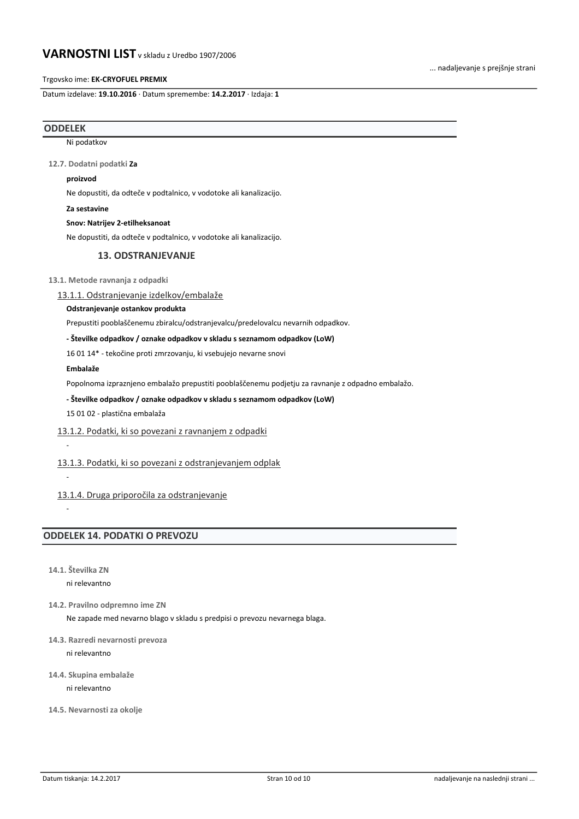Trgovsko ime: **EK-CRYOFUEL PREMIX**

Datum izdelave: **19.10.2016** · Datum spremembe: **14.2.2017** · Izdaja: **1**

### **ODDELEK**

Ni podatkov

**12.7. Dodatni podatki Za** 

#### **proizvod**

Ne dopustiti, da odteče v podtalnico, v vodotoke ali kanalizacijo.

**Za sestavine**

#### **Snov: Natrijev 2-etilheksanoat**

Ne dopustiti, da odteče v podtalnico, v vodotoke ali kanalizacijo.

### **13. ODSTRANJEVANJE**

**13.1. Metode ravnanja z odpadki**

13.1.1. Odstranjevanje izdelkov/embalaže

### **Odstranjevanje ostankov produkta**

Prepustiti pooblaščenemu zbiralcu/odstranjevalcu/predelovalcu nevarnih odpadkov.

### **- Številke odpadkov / oznake odpadkov v skladu s seznamom odpadkov (LoW)**

16 01 14\* - tekočine proti zmrzovanju, ki vsebujejo nevarne snovi

#### **Embalaže**

Popolnoma izpraznjeno embalažo prepustiti pooblaščenemu podjetju za ravnanje z odpadno embalažo.

### **- Številke odpadkov / oznake odpadkov v skladu s seznamom odpadkov (LoW)**

15 01 02 - plastična embalaža

### 13.1.2. Podatki, ki so povezani z ravnanjem z odpadki

#### 13.1.3. Podatki, ki so povezani z odstranjevanjem odplak

13.1.4. Druga priporočila za odstranjevanje

-

-

-

# **ODDELEK 14. PODATKI O PREVOZU**

**14.1. Številka ZN**

ni relevantno

**14.2. Pravilno odpremno ime ZN**

Ne zapade med nevarno blago v skladu s predpisi o prevozu nevarnega blaga.

### **14.3. Razredi nevarnosti prevoza**

ni relevantno

**14.4. Skupina embalaže**

ni relevantno

**14.5. Nevarnosti za okolje**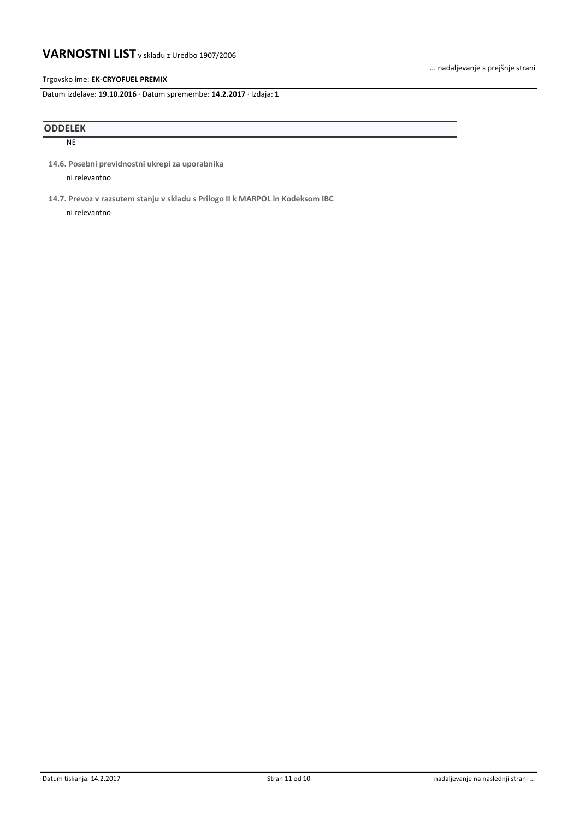### Trgovsko ime: **EK-CRYOFUEL PREMIX**

Datum izdelave: **19.10.2016** · Datum spremembe: **14.2.2017** · Izdaja: **1**

# **ODDELEK**

NE

**14.6. Posebni previdnostni ukrepi za uporabnika**

ni relevantno

**14.7. Prevoz v razsutem stanju v skladu s Prilogo II k MARPOL in Kodeksom IBC**

ni relevantno